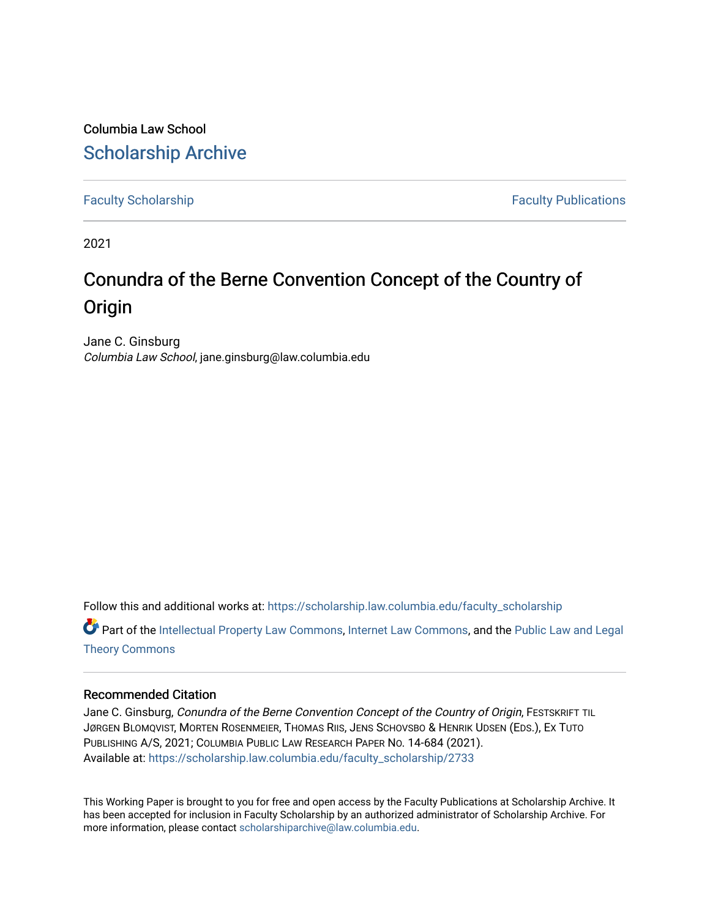Columbia Law School [Scholarship Archive](https://scholarship.law.columbia.edu/) 

[Faculty Scholarship](https://scholarship.law.columbia.edu/faculty_scholarship) **Faculty Scholarship Faculty Publications** 

2021

# Conundra of the Berne Convention Concept of the Country of **Origin**

Jane C. Ginsburg Columbia Law School, jane.ginsburg@law.columbia.edu

Follow this and additional works at: [https://scholarship.law.columbia.edu/faculty\\_scholarship](https://scholarship.law.columbia.edu/faculty_scholarship?utm_source=scholarship.law.columbia.edu%2Ffaculty_scholarship%2F2733&utm_medium=PDF&utm_campaign=PDFCoverPages)

Part of the [Intellectual Property Law Commons,](http://network.bepress.com/hgg/discipline/896?utm_source=scholarship.law.columbia.edu%2Ffaculty_scholarship%2F2733&utm_medium=PDF&utm_campaign=PDFCoverPages) [Internet Law Commons,](http://network.bepress.com/hgg/discipline/892?utm_source=scholarship.law.columbia.edu%2Ffaculty_scholarship%2F2733&utm_medium=PDF&utm_campaign=PDFCoverPages) and the [Public Law and Legal](http://network.bepress.com/hgg/discipline/871?utm_source=scholarship.law.columbia.edu%2Ffaculty_scholarship%2F2733&utm_medium=PDF&utm_campaign=PDFCoverPages)  [Theory Commons](http://network.bepress.com/hgg/discipline/871?utm_source=scholarship.law.columbia.edu%2Ffaculty_scholarship%2F2733&utm_medium=PDF&utm_campaign=PDFCoverPages)

#### Recommended Citation

Jane C. Ginsburg, Conundra of the Berne Convention Concept of the Country of Origin, FESTSKRIFT TIL JØRGEN BLOMQVIST, MORTEN ROSENMEIER, THOMAS RIIS, JENS SCHOVSBO & HENRIK UDSEN (EDS.), EX TUTO PUBLISHING A/S, 2021; COLUMBIA PUBLIC LAW RESEARCH PAPER NO. 14-684 (2021). Available at: [https://scholarship.law.columbia.edu/faculty\\_scholarship/2733](https://scholarship.law.columbia.edu/faculty_scholarship/2733?utm_source=scholarship.law.columbia.edu%2Ffaculty_scholarship%2F2733&utm_medium=PDF&utm_campaign=PDFCoverPages)

This Working Paper is brought to you for free and open access by the Faculty Publications at Scholarship Archive. It has been accepted for inclusion in Faculty Scholarship by an authorized administrator of Scholarship Archive. For more information, please contact [scholarshiparchive@law.columbia.edu.](mailto:scholarshiparchive@law.columbia.edu)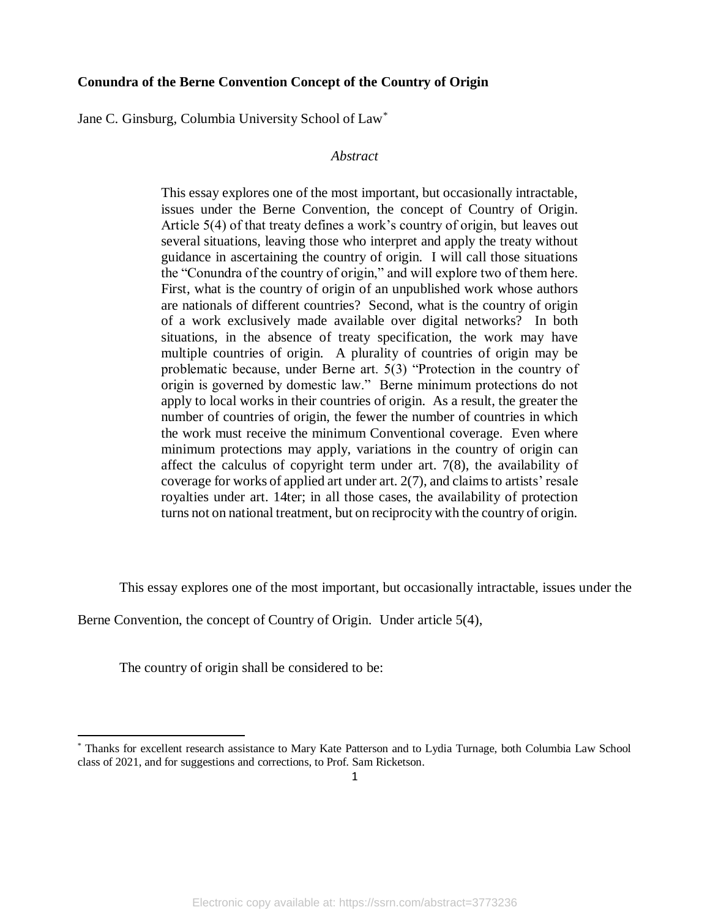## **Conundra of the Berne Convention Concept of the Country of Origin**

Jane C. Ginsburg, Columbia University School of Law\*

#### *Abstract*

This essay explores one of the most important, but occasionally intractable, issues under the Berne Convention, the concept of Country of Origin. Article 5(4) of that treaty defines a work's country of origin, but leaves out several situations, leaving those who interpret and apply the treaty without guidance in ascertaining the country of origin. I will call those situations the "Conundra of the country of origin," and will explore two of them here. First, what is the country of origin of an unpublished work whose authors are nationals of different countries? Second, what is the country of origin of a work exclusively made available over digital networks? In both situations, in the absence of treaty specification, the work may have multiple countries of origin. A plurality of countries of origin may be problematic because, under Berne art. 5(3) "Protection in the country of origin is governed by domestic law." Berne minimum protections do not apply to local works in their countries of origin. As a result, the greater the number of countries of origin, the fewer the number of countries in which the work must receive the minimum Conventional coverage. Even where minimum protections may apply, variations in the country of origin can affect the calculus of copyright term under art. 7(8), the availability of coverage for works of applied art under art. 2(7), and claims to artists' resale royalties under art. 14ter; in all those cases, the availability of protection turns not on national treatment, but on reciprocity with the country of origin.

This essay explores one of the most important, but occasionally intractable, issues under the

Berne Convention, the concept of Country of Origin. Under article 5(4),

The country of origin shall be considered to be:

<sup>\*</sup> Thanks for excellent research assistance to Mary Kate Patterson and to Lydia Turnage, both Columbia Law School class of 2021, and for suggestions and corrections, to Prof. Sam Ricketson.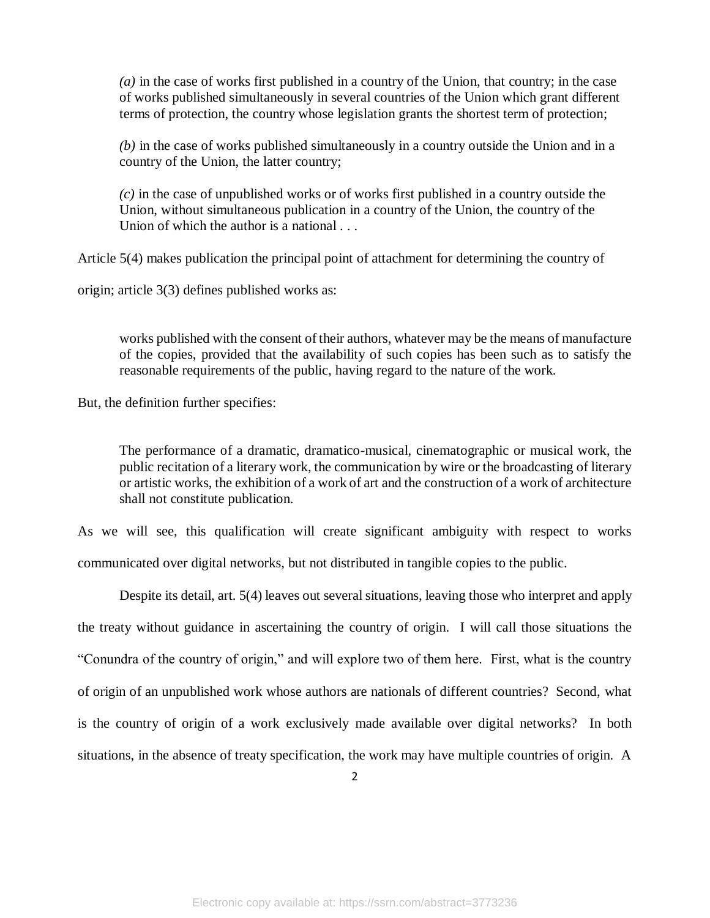*(a)* in the case of works first published in a country of the Union, that country; in the case of works published simultaneously in several countries of the Union which grant different terms of protection, the country whose legislation grants the shortest term of protection;

*(b)* in the case of works published simultaneously in a country outside the Union and in a country of the Union, the latter country;

*(c)* in the case of unpublished works or of works first published in a country outside the Union, without simultaneous publication in a country of the Union, the country of the Union of which the author is a national

Article 5(4) makes publication the principal point of attachment for determining the country of

origin; article 3(3) defines published works as:

works published with the consent of their authors, whatever may be the means of manufacture of the copies, provided that the availability of such copies has been such as to satisfy the reasonable requirements of the public, having regard to the nature of the work.

But, the definition further specifies:

The performance of a dramatic, dramatico-musical, cinematographic or musical work, the public recitation of a literary work, the communication by wire or the broadcasting of literary or artistic works, the exhibition of a work of art and the construction of a work of architecture shall not constitute publication.

As we will see, this qualification will create significant ambiguity with respect to works communicated over digital networks, but not distributed in tangible copies to the public.

Despite its detail, art. 5(4) leaves out several situations, leaving those who interpret and apply the treaty without guidance in ascertaining the country of origin. I will call those situations the "Conundra of the country of origin," and will explore two of them here. First, what is the country of origin of an unpublished work whose authors are nationals of different countries? Second, what is the country of origin of a work exclusively made available over digital networks? In both situations, in the absence of treaty specification, the work may have multiple countries of origin. A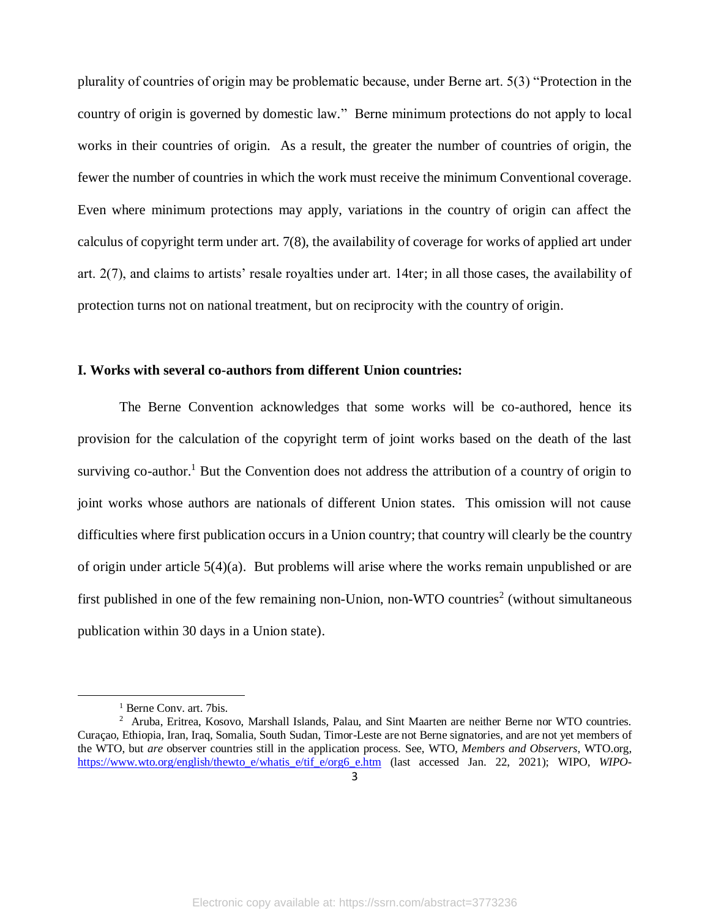plurality of countries of origin may be problematic because, under Berne art. 5(3) "Protection in the country of origin is governed by domestic law." Berne minimum protections do not apply to local works in their countries of origin. As a result, the greater the number of countries of origin, the fewer the number of countries in which the work must receive the minimum Conventional coverage. Even where minimum protections may apply, variations in the country of origin can affect the calculus of copyright term under art. 7(8), the availability of coverage for works of applied art under art. 2(7), and claims to artists' resale royalties under art. 14ter; in all those cases, the availability of protection turns not on national treatment, but on reciprocity with the country of origin.

### **I. Works with several co-authors from different Union countries:**

The Berne Convention acknowledges that some works will be co-authored, hence its provision for the calculation of the copyright term of joint works based on the death of the last surviving co-author.<sup>1</sup> But the Convention does not address the attribution of a country of origin to joint works whose authors are nationals of different Union states. This omission will not cause difficulties where first publication occurs in a Union country; that country will clearly be the country of origin under article 5(4)(a). But problems will arise where the works remain unpublished or are first published in one of the few remaining non-Union, non-WTO countries<sup>2</sup> (without simultaneous publication within 30 days in a Union state).

<sup>&</sup>lt;sup>1</sup> Berne Conv. art. 7bis.

<sup>&</sup>lt;sup>2</sup> Aruba, Eritrea, Kosovo, Marshall Islands, Palau, and Sint Maarten are neither Berne nor WTO countries. Curaçao, Ethiopia, Iran, Iraq, Somalia, South Sudan, Timor-Leste are not Berne signatories, and are not yet members of the WTO, but *are* observer countries still in the application process. See, WTO, *Members and Observers*, WTO.org, [https://www.wto.org/english/thewto\\_e/whatis\\_e/tif\\_e/org6\\_e.htm](https://www.wto.org/english/thewto_e/whatis_e/tif_e/org6_e.htm) (last accessed Jan. 22, 2021); WIPO, *WIPO-*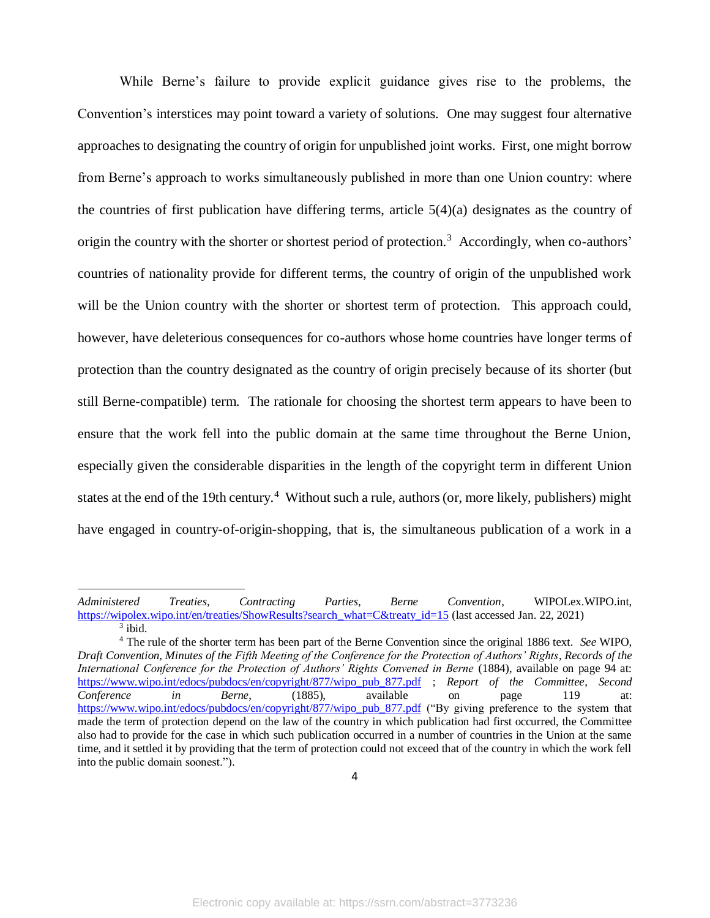While Berne's failure to provide explicit guidance gives rise to the problems, the Convention's interstices may point toward a variety of solutions. One may suggest four alternative approaches to designating the country of origin for unpublished joint works. First, one might borrow from Berne's approach to works simultaneously published in more than one Union country: where the countries of first publication have differing terms, article 5(4)(a) designates as the country of origin the country with the shorter or shortest period of protection.<sup>3</sup> Accordingly, when co-authors' countries of nationality provide for different terms, the country of origin of the unpublished work will be the Union country with the shorter or shortest term of protection. This approach could, however, have deleterious consequences for co-authors whose home countries have longer terms of protection than the country designated as the country of origin precisely because of its shorter (but still Berne-compatible) term. The rationale for choosing the shortest term appears to have been to ensure that the work fell into the public domain at the same time throughout the Berne Union, especially given the considerable disparities in the length of the copyright term in different Union states at the end of the 19th century.<sup>4</sup> Without such a rule, authors (or, more likely, publishers) might have engaged in country-of-origin-shopping, that is, the simultaneous publication of a work in a

*Administered Treaties, Contracting Parties, Berne Convention*, WIPOLex.WIPO.int, [https://wipolex.wipo.int/en/treaties/ShowResults?search\\_what=C&treaty\\_id=15](https://wipolex.wipo.int/en/treaties/ShowResults?search_what=C&treaty_id=15) (last accessed Jan. 22, 2021)  $3$  ibid.

<sup>4</sup> The rule of the shorter term has been part of the Berne Convention since the original 1886 text. *See* WIPO, *Draft Convention, Minutes of the Fifth Meeting of the Conference for the Protection of Authors' Rights*, *Records of the International Conference for the Protection of Authors' Rights Convened in Berne* (1884), available on page 94 at: [https://www.wipo.int/edocs/pubdocs/en/copyright/877/wipo\\_pub\\_877.pdf](https://www.wipo.int/edocs/pubdocs/en/copyright/877/wipo_pub_877.pdf) ; *Report of the Committee*, *Second Conference in Berne*, (1885), available on page 119 at: [https://www.wipo.int/edocs/pubdocs/en/copyright/877/wipo\\_pub\\_877.pdf](https://www.wipo.int/edocs/pubdocs/en/copyright/877/wipo_pub_877.pdf) ("By giving preference to the system that made the term of protection depend on the law of the country in which publication had first occurred, the Committee also had to provide for the case in which such publication occurred in a number of countries in the Union at the same time, and it settled it by providing that the term of protection could not exceed that of the country in which the work fell into the public domain soonest.").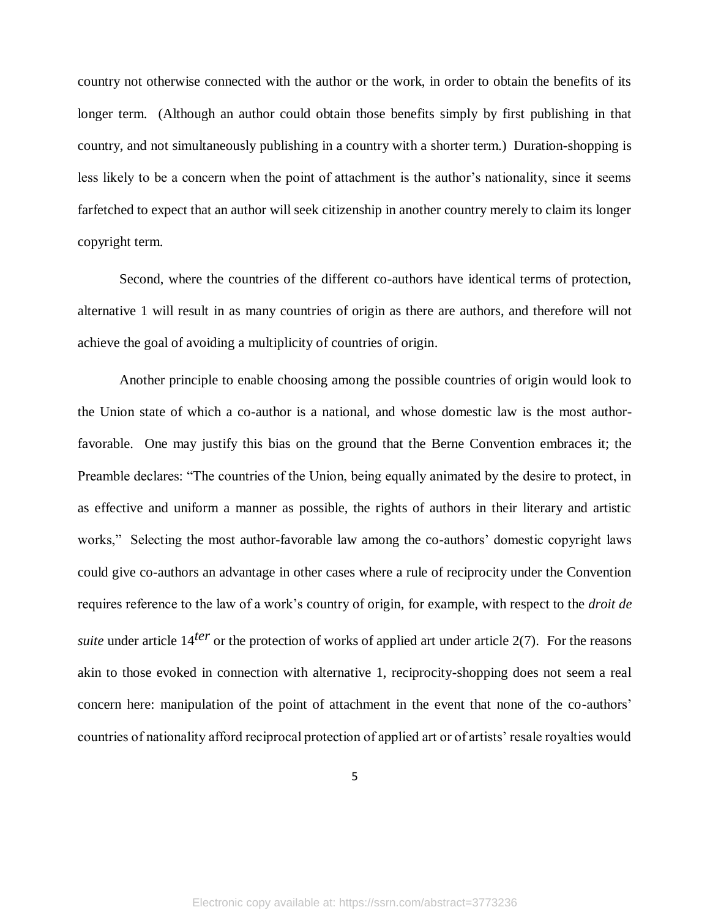country not otherwise connected with the author or the work, in order to obtain the benefits of its longer term. (Although an author could obtain those benefits simply by first publishing in that country, and not simultaneously publishing in a country with a shorter term.) Duration-shopping is less likely to be a concern when the point of attachment is the author's nationality, since it seems farfetched to expect that an author will seek citizenship in another country merely to claim its longer copyright term.

Second, where the countries of the different co-authors have identical terms of protection, alternative 1 will result in as many countries of origin as there are authors, and therefore will not achieve the goal of avoiding a multiplicity of countries of origin.

Another principle to enable choosing among the possible countries of origin would look to the Union state of which a co-author is a national, and whose domestic law is the most authorfavorable. One may justify this bias on the ground that the Berne Convention embraces it; the Preamble declares: "The countries of the Union, being equally animated by the desire to protect, in as effective and uniform a manner as possible, the rights of authors in their literary and artistic works," Selecting the most author-favorable law among the co-authors' domestic copyright laws could give co-authors an advantage in other cases where a rule of reciprocity under the Convention requires reference to the law of a work's country of origin, for example, with respect to the *droit de suite* under article 14<sup>*ter*</sup> or the protection of works of applied art under article 2(7). For the reasons akin to those evoked in connection with alternative 1, reciprocity-shopping does not seem a real concern here: manipulation of the point of attachment in the event that none of the co-authors' countries of nationality afford reciprocal protection of applied art or of artists' resale royalties would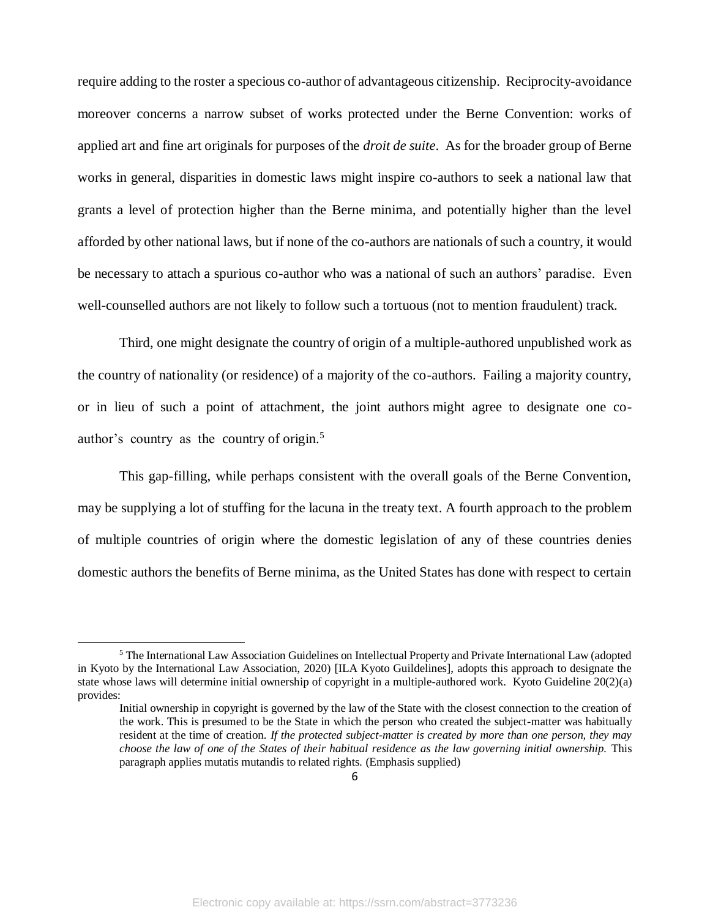require adding to the roster a specious co-author of advantageous citizenship. Reciprocity-avoidance moreover concerns a narrow subset of works protected under the Berne Convention: works of applied art and fine art originals for purposes of the *droit de suite*. As for the broader group of Berne works in general, disparities in domestic laws might inspire co-authors to seek a national law that grants a level of protection higher than the Berne minima, and potentially higher than the level afforded by other national laws, but if none of the co-authors are nationals of such a country, it would be necessary to attach a spurious co-author who was a national of such an authors' paradise. Even well-counselled authors are not likely to follow such a tortuous (not to mention fraudulent) track.

Third, one might designate the country of origin of a multiple-authored unpublished work as the country of nationality (or residence) of a majority of the co-authors. Failing a majority country, or in lieu of such a point of attachment, the joint authors might agree to designate one coauthor's country as the country of origin. 5

This gap-filling, while perhaps consistent with the overall goals of the Berne Convention, may be supplying a lot of stuffing for the lacuna in the treaty text. A fourth approach to the problem of multiple countries of origin where the domestic legislation of any of these countries denies domestic authors the benefits of Berne minima, as the United States has done with respect to certain

<sup>5</sup> The International Law Association Guidelines on Intellectual Property and Private International Law (adopted in Kyoto by the International Law Association, 2020) [ILA Kyoto Guildelines], adopts this approach to designate the state whose laws will determine initial ownership of copyright in a multiple-authored work. Kyoto Guideline 20(2)(a) provides:

Initial ownership in copyright is governed by the law of the State with the closest connection to the creation of the work. This is presumed to be the State in which the person who created the subject-matter was habitually resident at the time of creation. *If the protected subject-matter is created by more than one person, they may choose the law of one of the States of their habitual residence as the law governing initial ownership.* This paragraph applies mutatis mutandis to related rights. (Emphasis supplied)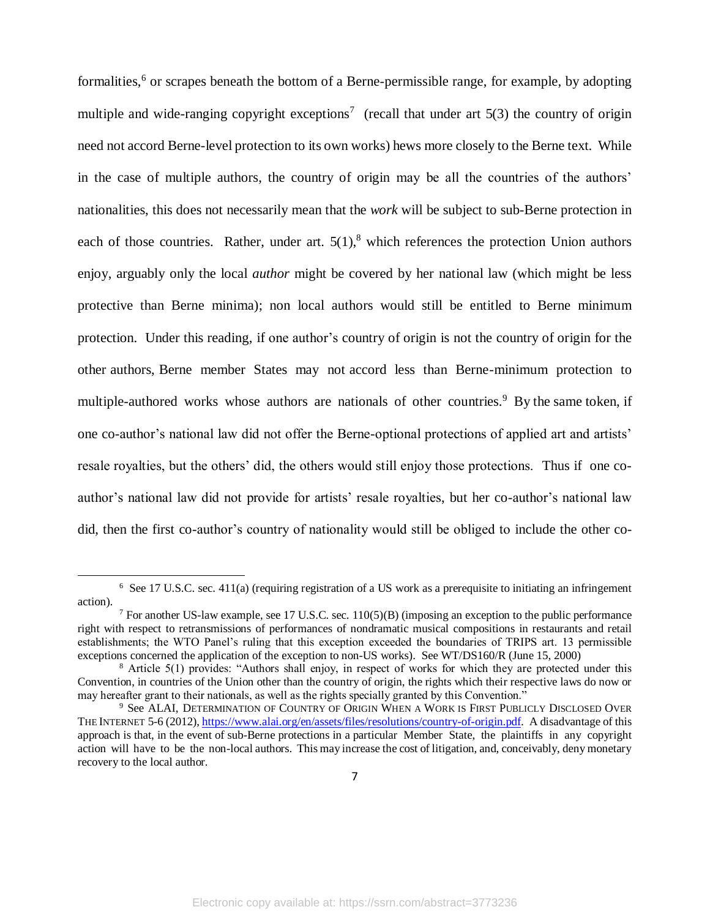formalities,<sup>6</sup> or scrapes beneath the bottom of a Berne-permissible range, for example, by adopting multiple and wide-ranging copyright exceptions<sup>7</sup> (recall that under art  $5(3)$  the country of origin need not accord Berne-level protection to its own works) hews more closely to the Berne text. While in the case of multiple authors, the country of origin may be all the countries of the authors' nationalities, this does not necessarily mean that the *work* will be subject to sub-Berne protection in each of those countries. Rather, under art.  $5(1)$ , which references the protection Union authors enjoy, arguably only the local *author* might be covered by her national law (which might be less protective than Berne minima); non local authors would still be entitled to Berne minimum protection. Under this reading, if one author's country of origin is not the country of origin for the other authors, Berne member States may not accord less than Berne-minimum protection to multiple-authored works whose authors are nationals of other countries.<sup>9</sup> By the same token, if one co-author's national law did not offer the Berne-optional protections of applied art and artists' resale royalties, but the others' did, the others would still enjoy those protections. Thus if one coauthor's national law did not provide for artists' resale royalties, but her co-author's national law did, then the first co-author's country of nationality would still be obliged to include the other co-

<sup>&</sup>lt;sup>6</sup> See 17 U.S.C. sec. 411(a) (requiring registration of a US work as a prerequisite to initiating an infringement action).

<sup>7</sup> For another US-law example, see 17 U.S.C. sec. 110(5)(B) (imposing an exception to the public performance right with respect to retransmissions of performances of nondramatic musical compositions in restaurants and retail establishments; the WTO Panel's ruling that this exception exceeded the boundaries of TRIPS art. 13 permissible exceptions concerned the application of the exception to non-US works). See WT/DS160/R (June 15, 2000)

<sup>&</sup>lt;sup>8</sup> Article 5(1) provides: "Authors shall enjoy, in respect of works for which they are protected under this Convention, in countries of the Union other than the country of origin, the rights which their respective laws do now or may hereafter grant to their nationals, as well as the rights specially granted by this Convention."

<sup>&</sup>lt;sup>9</sup> See ALAI, DETERMINATION OF COUNTRY OF ORIGIN WHEN A WORK IS FIRST PUBLICLY DISCLOSED OVER THE INTERNET 5-6 (2012)[, https://www.alai.org/en/assets/files/resolutions/country-of-origin.pdf.](https://www.alai.org/en/assets/files/resolutions/country-of-origin.pdf) A disadvantage of this approach is that, in the event of sub-Berne protections in a particular Member State, the plaintiffs in any copyright action will have to be the non-local authors. This may increase the cost of litigation, and, conceivably, deny monetary recovery to the local author.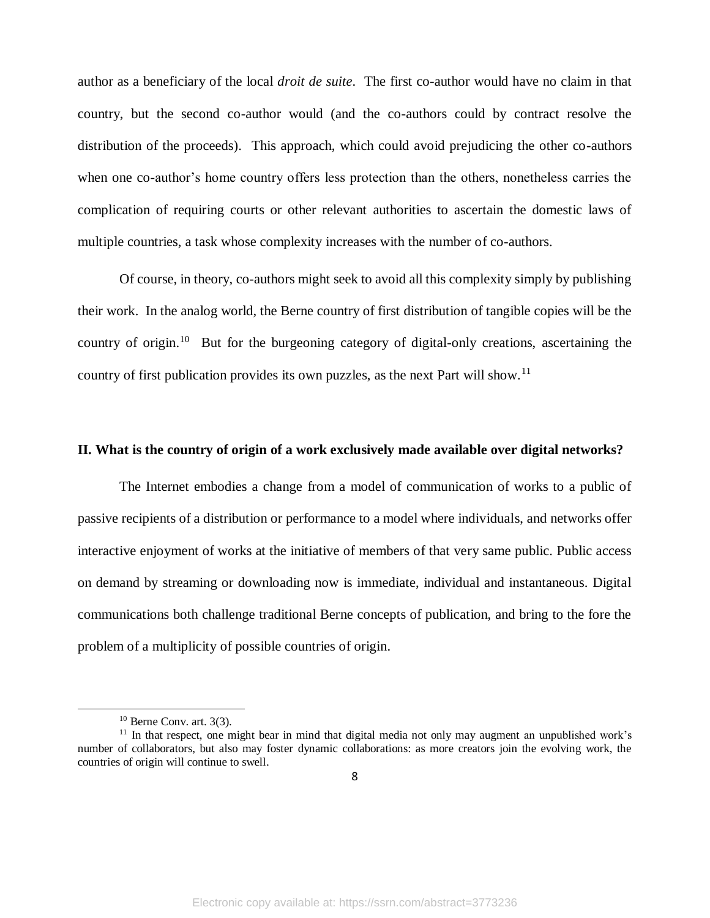author as a beneficiary of the local *droit de suite*. The first co-author would have no claim in that country, but the second co-author would (and the co-authors could by contract resolve the distribution of the proceeds). This approach, which could avoid prejudicing the other co-authors when one co-author's home country offers less protection than the others, nonetheless carries the complication of requiring courts or other relevant authorities to ascertain the domestic laws of multiple countries, a task whose complexity increases with the number of co-authors.

Of course, in theory, co-authors might seek to avoid all this complexity simply by publishing their work. In the analog world, the Berne country of first distribution of tangible copies will be the country of origin.<sup>10</sup> But for the burgeoning category of digital-only creations, ascertaining the country of first publication provides its own puzzles, as the next Part will show.<sup>11</sup>

#### **II. What is the country of origin of a work exclusively made available over digital networks?**

The Internet embodies a change from a model of communication of works to a public of passive recipients of a distribution or performance to a model where individuals, and networks offer interactive enjoyment of works at the initiative of members of that very same public. Public access on demand by streaming or downloading now is immediate, individual and instantaneous. Digital communications both challenge traditional Berne concepts of publication, and bring to the fore the problem of a multiplicity of possible countries of origin.

 $10$  Berne Conv. art. 3(3).

<sup>&</sup>lt;sup>11</sup> In that respect, one might bear in mind that digital media not only may augment an unpublished work's number of collaborators, but also may foster dynamic collaborations: as more creators join the evolving work, the countries of origin will continue to swell.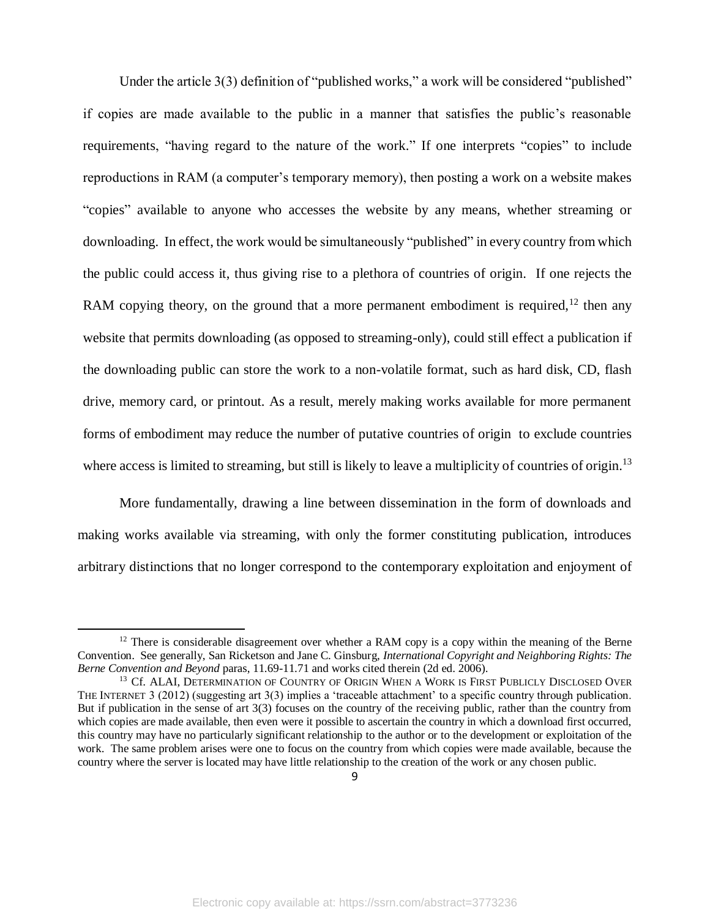Under the article 3(3) definition of "published works," a work will be considered "published" if copies are made available to the public in a manner that satisfies the public's reasonable requirements, "having regard to the nature of the work." If one interprets "copies" to include reproductions in RAM (a computer's temporary memory), then posting a work on a website makes "copies" available to anyone who accesses the website by any means, whether streaming or downloading. In effect, the work would be simultaneously "published" in every country from which the public could access it, thus giving rise to a plethora of countries of origin. If one rejects the RAM copying theory, on the ground that a more permanent embodiment is required,  $12$  then any website that permits downloading (as opposed to streaming-only), could still effect a publication if the downloading public can store the work to a non-volatile format, such as hard disk, CD, flash drive, memory card, or printout. As a result, merely making works available for more permanent forms of embodiment may reduce the number of putative countries of origin to exclude countries where access is limited to streaming, but still is likely to leave a multiplicity of countries of origin.<sup>13</sup>

More fundamentally, drawing a line between dissemination in the form of downloads and making works available via streaming, with only the former constituting publication, introduces arbitrary distinctions that no longer correspond to the contemporary exploitation and enjoyment of

 $12$  There is considerable disagreement over whether a RAM copy is a copy within the meaning of the Berne Convention. See generally, San Ricketson and Jane C. Ginsburg, *International Copyright and Neighboring Rights: The Berne Convention and Beyond* paras, 11.69-11.71 and works cited therein (2d ed. 2006).

<sup>&</sup>lt;sup>13</sup> Cf. ALAI, DETERMINATION OF COUNTRY OF ORIGIN WHEN A WORK IS FIRST PUBLICLY DISCLOSED OVER THE INTERNET 3 (2012) (suggesting art 3(3) implies a 'traceable attachment' to a specific country through publication. But if publication in the sense of art 3(3) focuses on the country of the receiving public, rather than the country from which copies are made available, then even were it possible to ascertain the country in which a download first occurred, this country may have no particularly significant relationship to the author or to the development or exploitation of the work. The same problem arises were one to focus on the country from which copies were made available, because the country where the server is located may have little relationship to the creation of the work or any chosen public.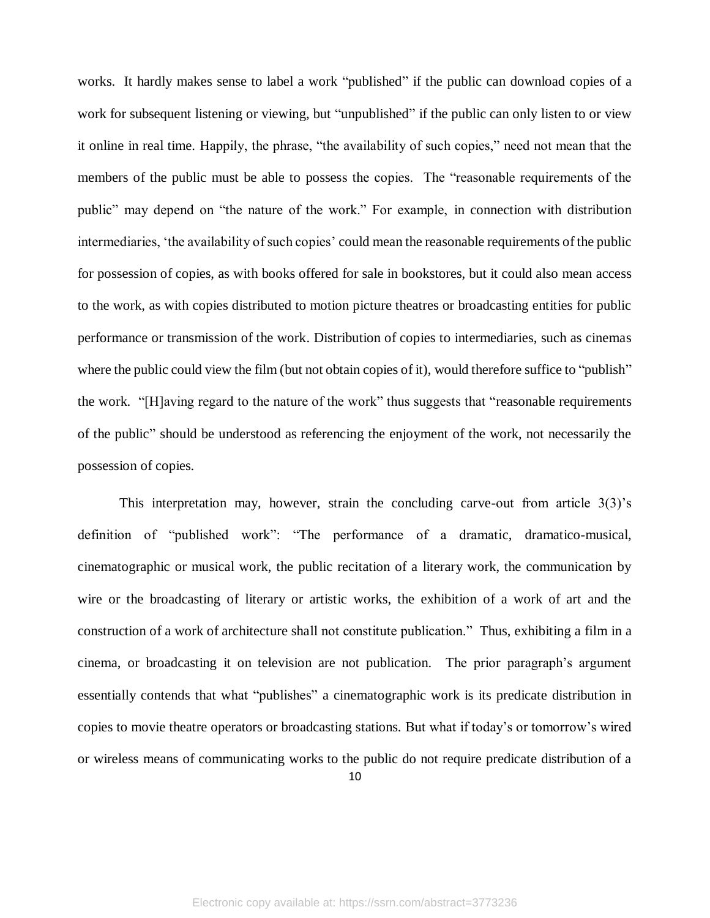works. It hardly makes sense to label a work "published" if the public can download copies of a work for subsequent listening or viewing, but "unpublished" if the public can only listen to or view it online in real time. Happily, the phrase, "the availability of such copies," need not mean that the members of the public must be able to possess the copies. The "reasonable requirements of the public" may depend on "the nature of the work." For example, in connection with distribution intermediaries, 'the availability of such copies' could mean the reasonable requirements of the public for possession of copies, as with books offered for sale in bookstores, but it could also mean access to the work, as with copies distributed to motion picture theatres or broadcasting entities for public performance or transmission of the work. Distribution of copies to intermediaries, such as cinemas where the public could view the film (but not obtain copies of it), would therefore suffice to "publish" the work. "[H]aving regard to the nature of the work" thus suggests that "reasonable requirements of the public" should be understood as referencing the enjoyment of the work, not necessarily the possession of copies.

This interpretation may, however, strain the concluding carve-out from article  $3(3)$ 's definition of "published work": "The performance of a dramatic, dramatico-musical, cinematographic or musical work, the public recitation of a literary work, the communication by wire or the broadcasting of literary or artistic works, the exhibition of a work of art and the construction of a work of architecture shall not constitute publication." Thus, exhibiting a film in a cinema, or broadcasting it on television are not publication. The prior paragraph's argument essentially contends that what "publishes" a cinematographic work is its predicate distribution in copies to movie theatre operators or broadcasting stations. But what if today's or tomorrow's wired or wireless means of communicating works to the public do not require predicate distribution of a

10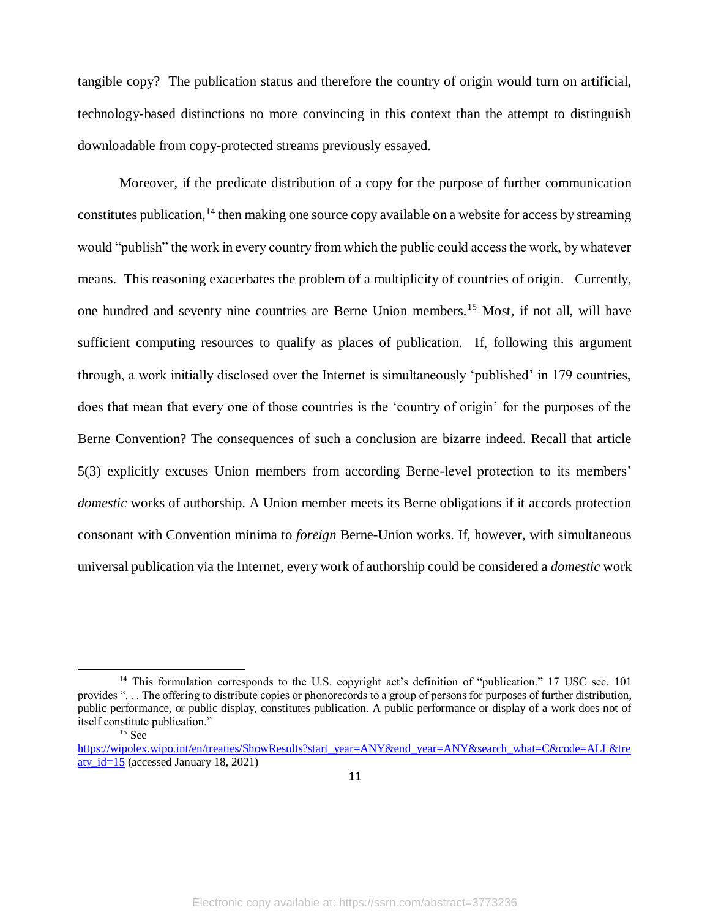tangible copy? The publication status and therefore the country of origin would turn on artificial, technology-based distinctions no more convincing in this context than the attempt to distinguish downloadable from copy-protected streams previously essayed.

Moreover, if the predicate distribution of a copy for the purpose of further communication constitutes publication,<sup>14</sup> then making one source copy available on a website for access by streaming would "publish" the work in every country from which the public could access the work, by whatever means. This reasoning exacerbates the problem of a multiplicity of countries of origin. Currently, one hundred and seventy nine countries are Berne Union members.<sup>15</sup> Most, if not all, will have sufficient computing resources to qualify as places of publication. If, following this argument through, a work initially disclosed over the Internet is simultaneously 'published' in 179 countries, does that mean that every one of those countries is the 'country of origin' for the purposes of the Berne Convention? The consequences of such a conclusion are bizarre indeed. Recall that article 5(3) explicitly excuses Union members from according Berne-level protection to its members' *domestic* works of authorship. A Union member meets its Berne obligations if it accords protection consonant with Convention minima to *foreign* Berne-Union works. If, however, with simultaneous universal publication via the Internet, every work of authorship could be considered a *domestic* work

<sup>&</sup>lt;sup>14</sup> This formulation corresponds to the U.S. copyright act's definition of "publication." 17 USC sec. 101 provides ". . . The offering to distribute copies or phonorecords to a group of persons for purposes of further distribution, public performance, or public display, constitutes publication. A public performance or display of a work does not of itself constitute publication."

<sup>15</sup> See

[https://wipolex.wipo.int/en/treaties/ShowResults?start\\_year=ANY&end\\_year=ANY&search\\_what=C&code=ALL&tre](https://wipolex.wipo.int/en/treaties/ShowResults?start_year=ANY&end_year=ANY&search_what=C&code=ALL&treaty_id=15) aty  $id=15$  (accessed January 18, 2021)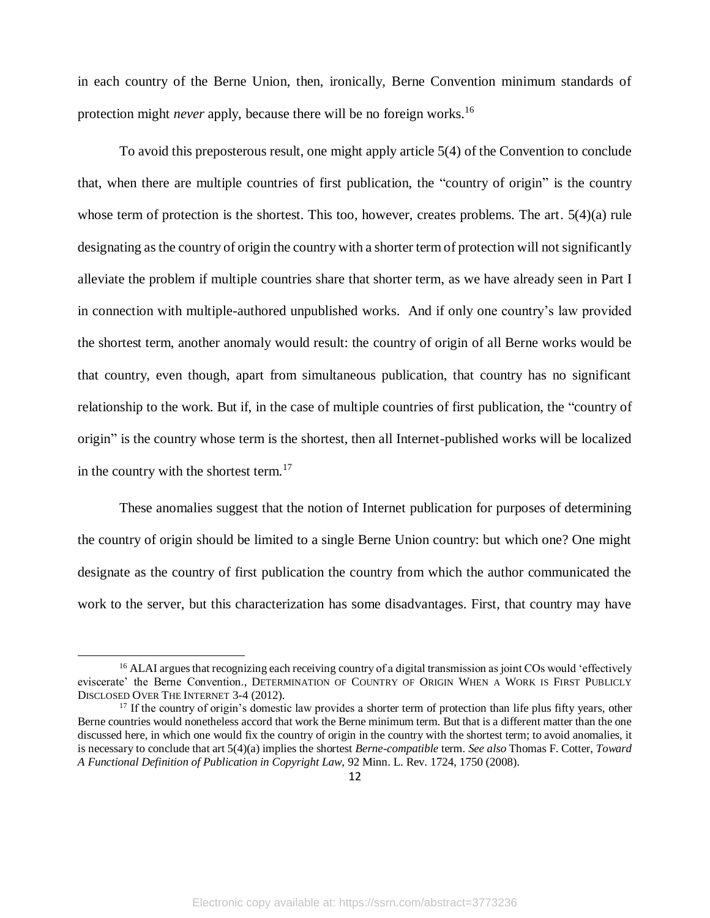in each country of the Berne Union, then, ironically, Berne Convention minimum standards of protection might *never* apply, because there will be no foreign works.<sup>16</sup>

To avoid this preposterous result, one might apply article 5(4) of the Convention to conclude that, when there are multiple countries of first publication, the "country of origin" is the country whose term of protection is the shortest. This too, however, creates problems. The art. 5(4)(a) rule designating as the country of origin the country with a shorter term of protection will not significantly alleviate the problem if multiple countries share that shorter term, as we have already seen in Part I in connection with multiple-authored unpublished works. And if only one country's law provided the shortest term, another anomaly would result: the country of origin of all Berne works would be that country, even though, apart from simultaneous publication, that country has no significant relationship to the work. But if, in the case of multiple countries of first publication, the "country of origin" is the country whose term is the shortest, then all Internet-published works will be localized in the country with the shortest term.<sup>17</sup>

These anomalies suggest that the notion of Internet publication for purposes of determining the country of origin should be limited to a single Berne Union country: but which one? One might designate as the country of first publication the country from which the author communicated the work to the server, but this characterization has some disadvantages. First, that country may have

<sup>&</sup>lt;sup>16</sup> ALAI argues that recognizing each receiving country of a digital transmission as joint COs would 'effectively eviscerate' the Berne Convention., DETERMINATION OF COUNTRY OF ORIGIN WHEN A WORK IS FIRST PUBLICLY DISCLOSED OVER THE INTERNET 3-4 (2012).

 $17$  If the country of origin's domestic law provides a shorter term of protection than life plus fifty years, other Berne countries would nonetheless accord that work the Berne minimum term. But that is a different matter than the one discussed here, in which one would fix the country of origin in the country with the shortest term; to avoid anomalies, it is necessary to conclude that art 5(4)(a) implies the shortest *Berne-compatible* term. *See also* Thomas F. Cotter, *Toward A Functional Definition of Publication in Copyright Law*, 92 Minn. L. Rev. 1724, 1750 (2008).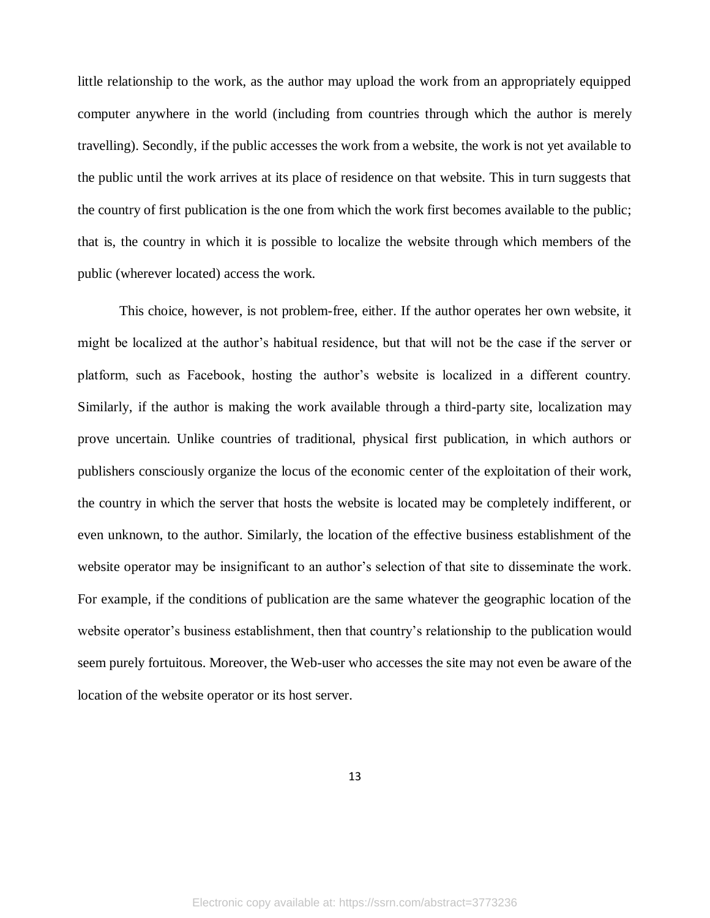little relationship to the work, as the author may upload the work from an appropriately equipped computer anywhere in the world (including from countries through which the author is merely travelling). Secondly, if the public accesses the work from a website, the work is not yet available to the public until the work arrives at its place of residence on that website. This in turn suggests that the country of first publication is the one from which the work first becomes available to the public; that is, the country in which it is possible to localize the website through which members of the public (wherever located) access the work.

This choice, however, is not problem-free, either. If the author operates her own website, it might be localized at the author's habitual residence, but that will not be the case if the server or platform, such as Facebook, hosting the author's website is localized in a different country. Similarly, if the author is making the work available through a third-party site, localization may prove uncertain. Unlike countries of traditional, physical first publication, in which authors or publishers consciously organize the locus of the economic center of the exploitation of their work, the country in which the server that hosts the website is located may be completely indifferent, or even unknown, to the author. Similarly, the location of the effective business establishment of the website operator may be insignificant to an author's selection of that site to disseminate the work. For example, if the conditions of publication are the same whatever the geographic location of the website operator's business establishment, then that country's relationship to the publication would seem purely fortuitous. Moreover, the Web-user who accesses the site may not even be aware of the location of the website operator or its host server.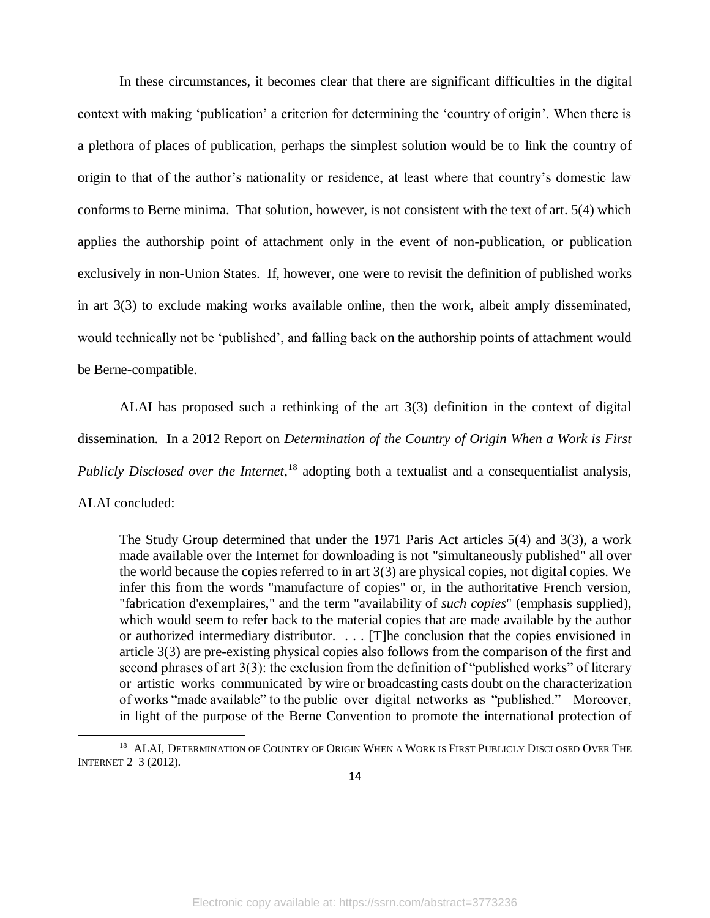In these circumstances, it becomes clear that there are significant difficulties in the digital context with making 'publication' a criterion for determining the 'country of origin'. When there is a plethora of places of publication, perhaps the simplest solution would be to link the country of origin to that of the author's nationality or residence, at least where that country's domestic law conforms to Berne minima. That solution, however, is not consistent with the text of art. 5(4) which applies the authorship point of attachment only in the event of non-publication, or publication exclusively in non-Union States. If, however, one were to revisit the definition of published works in art 3(3) to exclude making works available online, then the work, albeit amply disseminated, would technically not be 'published', and falling back on the authorship points of attachment would be Berne-compatible.

ALAI has proposed such a rethinking of the art 3(3) definition in the context of digital dissemination. In a 2012 Report on *Determination of the Country of Origin When a Work is First Publicly Disclosed over the Internet*, <sup>18</sup> adopting both a textualist and a consequentialist analysis,

ALAI concluded:

 $\ddot{\phantom{a}}$ 

The Study Group determined that under the 1971 Paris Act articles 5(4) and 3(3), a work made available over the Internet for downloading is not "simultaneously published" all over the world because the copies referred to in art 3(3) are physical copies, not digital copies. We infer this from the words "manufacture of copies" or, in the authoritative French version, "fabrication d'exemplaires," and the term "availability of *such copies*" (emphasis supplied), which would seem to refer back to the material copies that are made available by the author or authorized intermediary distributor. . . . [T]he conclusion that the copies envisioned in article 3(3) are pre-existing physical copies also follows from the comparison of the first and second phrases of art 3(3): the exclusion from the definition of "published works" of literary or artistic works communicated by wire or broadcasting casts doubt on the characterization of works "made available" to the public over digital networks as "published." Moreover, in light of the purpose of the Berne Convention to promote the international protection of

<sup>&</sup>lt;sup>18</sup> ALAI, DETERMINATION OF COUNTRY OF ORIGIN WHEN A WORK IS FIRST PUBLICLY DISCLOSED OVER THE INTERNET 2–3 (2012).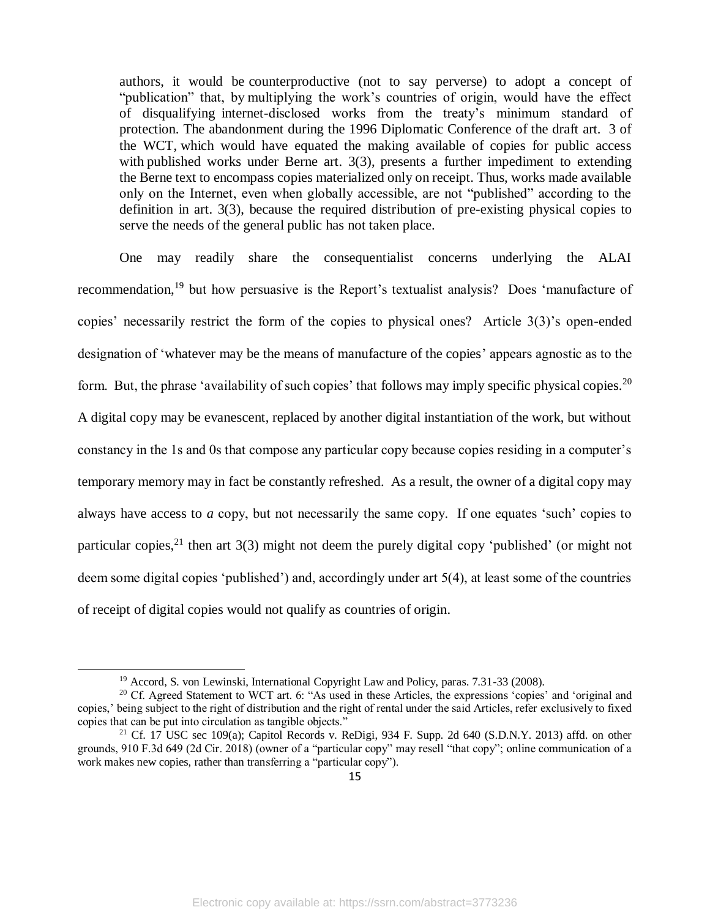authors, it would be counterproductive (not to say perverse) to adopt a concept of "publication" that, by multiplying the work's countries of origin, would have the effect of disqualifying internet-disclosed works from the treaty's minimum standard of protection. The abandonment during the 1996 Diplomatic Conference of the draft art. 3 of the WCT, which would have equated the making available of copies for public access with published works under Berne art. 3(3), presents a further impediment to extending the Berne text to encompass copies materialized only on receipt. Thus, works made available only on the Internet, even when globally accessible, are not "published" according to the definition in art. 3(3), because the required distribution of pre-existing physical copies to serve the needs of the general public has not taken place.

One may readily share the consequentialist concerns underlying the ALAI recommendation,<sup>19</sup> but how persuasive is the Report's textualist analysis? Does 'manufacture of copies' necessarily restrict the form of the copies to physical ones? Article 3(3)'s open-ended designation of 'whatever may be the means of manufacture of the copies' appears agnostic as to the form. But, the phrase 'availability of such copies' that follows may imply specific physical copies.<sup>20</sup> A digital copy may be evanescent, replaced by another digital instantiation of the work, but without constancy in the 1s and 0s that compose any particular copy because copies residing in a computer's temporary memory may in fact be constantly refreshed. As a result, the owner of a digital copy may always have access to *a* copy, but not necessarily the same copy. If one equates 'such' copies to particular copies,  $2^{1}$  then art 3(3) might not deem the purely digital copy 'published' (or might not deem some digital copies 'published') and, accordingly under art 5(4), at least some of the countries of receipt of digital copies would not qualify as countries of origin.

<sup>&</sup>lt;sup>19</sup> Accord, S. von Lewinski, International Copyright Law and Policy, paras. 7.31-33 (2008).

<sup>20</sup> Cf. Agreed Statement to WCT art. 6: "As used in these Articles, the expressions 'copies' and 'original and copies,' being subject to the right of distribution and the right of rental under the said Articles, refer exclusively to fixed copies that can be put into circulation as tangible objects."

<sup>&</sup>lt;sup>21</sup> Cf. 17 USC sec 109(a); Capitol Records v. ReDigi, 934 F. Supp. 2d 640 (S.D.N.Y. 2013) affd. on other grounds, 910 F.3d 649 (2d Cir. 2018) (owner of a "particular copy" may resell "that copy"; online communication of a work makes new copies, rather than transferring a "particular copy").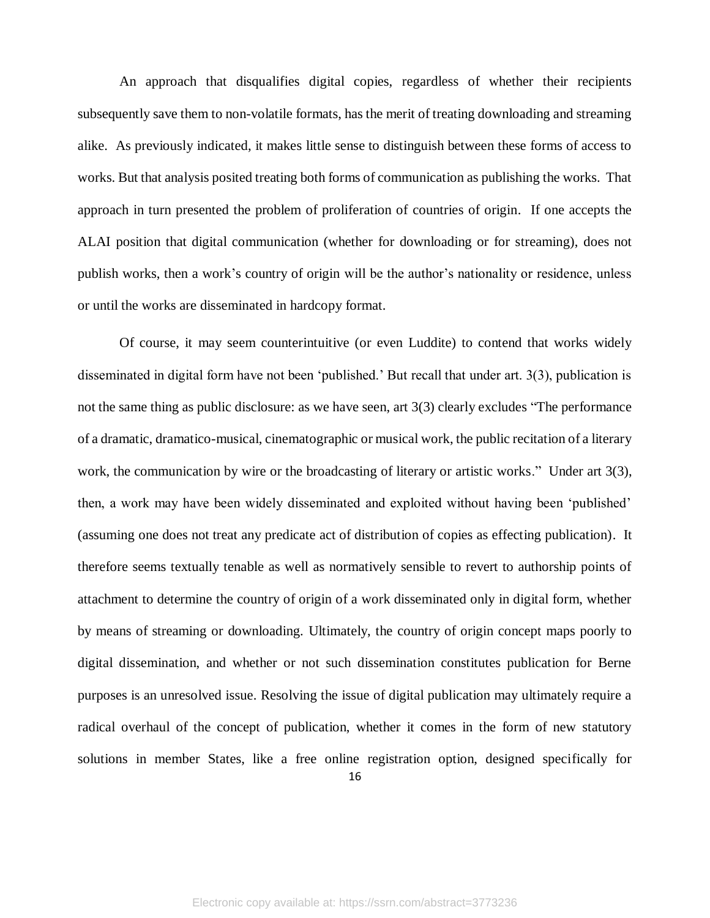An approach that disqualifies digital copies, regardless of whether their recipients subsequently save them to non-volatile formats, has the merit of treating downloading and streaming alike. As previously indicated, it makes little sense to distinguish between these forms of access to works. But that analysis posited treating both forms of communication as publishing the works. That approach in turn presented the problem of proliferation of countries of origin. If one accepts the ALAI position that digital communication (whether for downloading or for streaming), does not publish works, then a work's country of origin will be the author's nationality or residence, unless or until the works are disseminated in hardcopy format.

16 Of course, it may seem counterintuitive (or even Luddite) to contend that works widely disseminated in digital form have not been 'published.' But recall that under art. 3(3), publication is not the same thing as public disclosure: as we have seen, art 3(3) clearly excludes "The performance of a dramatic, dramatico-musical, cinematographic or musical work, the public recitation of a literary work, the communication by wire or the broadcasting of literary or artistic works." Under art 3(3), then, a work may have been widely disseminated and exploited without having been 'published' (assuming one does not treat any predicate act of distribution of copies as effecting publication). It therefore seems textually tenable as well as normatively sensible to revert to authorship points of attachment to determine the country of origin of a work disseminated only in digital form, whether by means of streaming or downloading. Ultimately, the country of origin concept maps poorly to digital dissemination, and whether or not such dissemination constitutes publication for Berne purposes is an unresolved issue. Resolving the issue of digital publication may ultimately require a radical overhaul of the concept of publication, whether it comes in the form of new statutory solutions in member States, like a free online registration option, designed specifically for